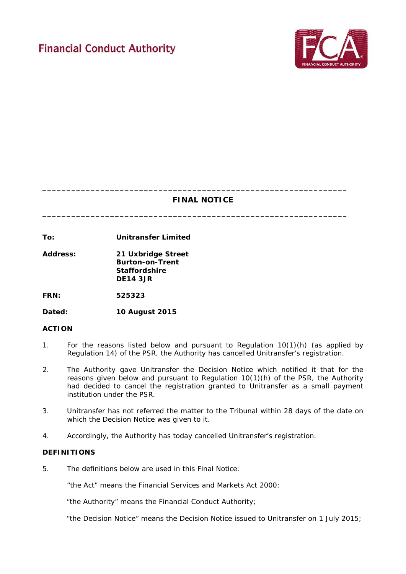# **Financial Conduct Authority**



# **FINAL NOTICE**

**\_\_\_\_\_\_\_\_\_\_\_\_\_\_\_\_\_\_\_\_\_\_\_\_\_\_\_\_\_\_\_\_\_\_\_\_\_\_\_\_\_\_\_\_\_\_\_\_\_\_\_\_\_\_\_\_\_\_\_\_\_\_\_**

**\_\_\_\_\_\_\_\_\_\_\_\_\_\_\_\_\_\_\_\_\_\_\_\_\_\_\_\_\_\_\_\_\_\_\_\_\_\_\_\_\_\_\_\_\_\_\_\_\_\_\_\_\_\_\_\_\_\_\_\_\_\_\_**

**To: Unitransfer Limited**

**Address: 21 Uxbridge Street Burton-on-Trent Staffordshire DE14 3JR**

**FRN: 525323**

**Dated: 10 August 2015**

#### **ACTION**

- 1. For the reasons listed below and pursuant to Regulation 10(1)(h) (as applied by Regulation 14) of the PSR, the Authority has cancelled Unitransfer's registration.
- 2. The Authority gave Unitransfer the Decision Notice which notified it that for the reasons given below and pursuant to Regulation 10(1)(h) of the PSR, the Authority had decided to cancel the registration granted to Unitransfer as a small payment institution under the PSR.
- 3. Unitransfer has not referred the matter to the Tribunal within 28 days of the date on which the Decision Notice was given to it.
- 4. Accordingly, the Authority has today cancelled Unitransfer's registration.

# **DEFINITIONS**

5. The definitions below are used in this Final Notice:

"the Act" means the Financial Services and Markets Act 2000;

"the Authority" means the Financial Conduct Authority;

"the Decision Notice" means the Decision Notice issued to Unitransfer on 1 July 2015;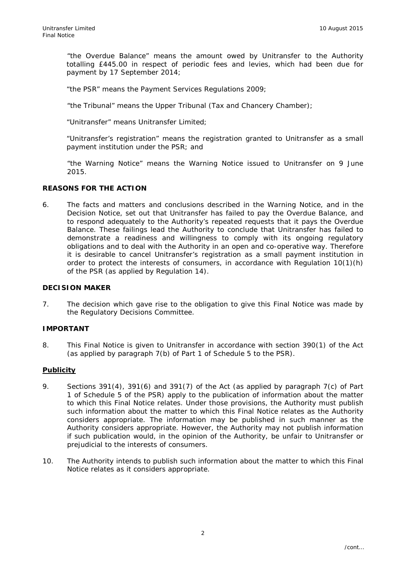"the Overdue Balance" means the amount owed by Unitransfer to the Authority totalling £445.00 in respect of periodic fees and levies, which had been due for payment by 17 September 2014;

"the PSR" means the Payment Services Regulations 2009;

"the Tribunal" means the Upper Tribunal (Tax and Chancery Chamber);

"Unitransfer" means Unitransfer Limited;

"Unitransfer's registration" means the registration granted to Unitransfer as a small payment institution under the PSR; and

"the Warning Notice" means the Warning Notice issued to Unitransfer on 9 June 2015.

#### **REASONS FOR THE ACTION**

6. The facts and matters and conclusions described in the Warning Notice, and in the Decision Notice, set out that Unitransfer has failed to pay the Overdue Balance, and to respond adequately to the Authority's repeated requests that it pays the Overdue Balance. These failings lead the Authority to conclude that Unitransfer has failed to demonstrate a readiness and willingness to comply with its ongoing regulatory obligations and to deal with the Authority in an open and co-operative way. Therefore it is desirable to cancel Unitransfer's registration as a small payment institution in order to protect the interests of consumers, in accordance with Regulation 10(1)(h) of the PSR (as applied by Regulation 14).

#### **DECISION MAKER**

7. The decision which gave rise to the obligation to give this Final Notice was made by the Regulatory Decisions Committee.

#### **IMPORTANT**

8. This Final Notice is given to Unitransfer in accordance with section 390(1) of the Act (as applied by paragraph 7(b) of Part 1 of Schedule 5 to the PSR).

### **Publicity**

- 9. Sections 391(4), 391(6) and 391(7) of the Act (as applied by paragraph 7(c) of Part 1 of Schedule 5 of the PSR) apply to the publication of information about the matter to which this Final Notice relates. Under those provisions, the Authority must publish such information about the matter to which this Final Notice relates as the Authority considers appropriate. The information may be published in such manner as the Authority considers appropriate. However, the Authority may not publish information if such publication would, in the opinion of the Authority, be unfair to Unitransfer or prejudicial to the interests of consumers.
- 10. The Authority intends to publish such information about the matter to which this Final Notice relates as it considers appropriate.